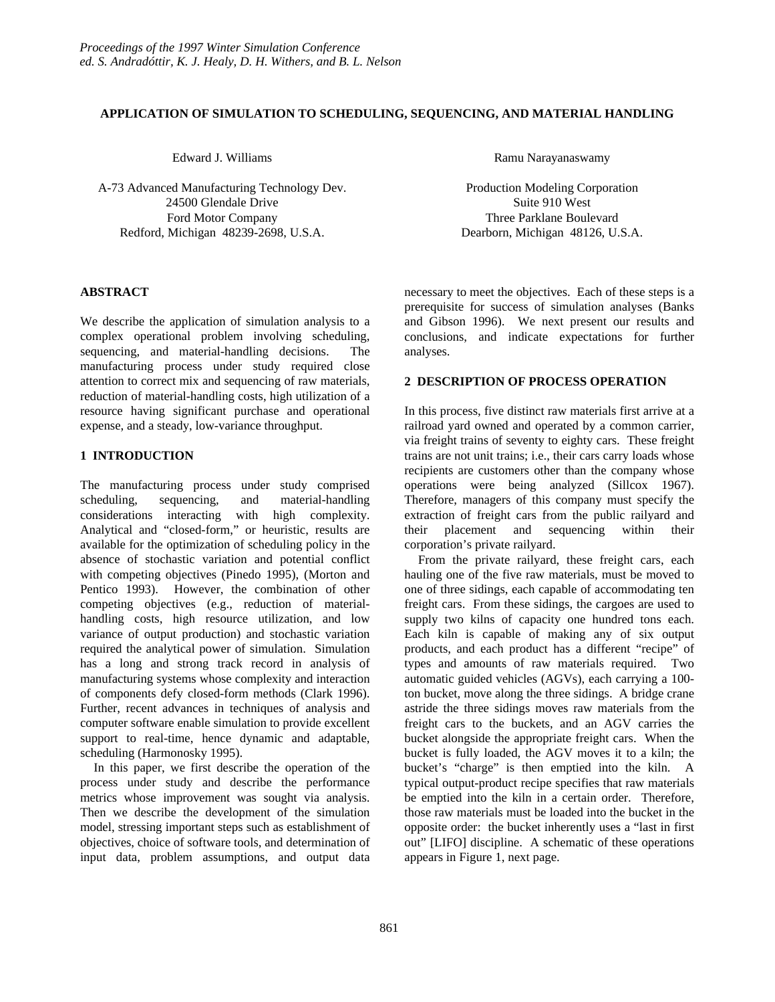### **APPLICATION OF SIMULATION TO SCHEDULING, SEQUENCING, AND MATERIAL HANDLING**

Edward J. Williams

A-73 Advanced Manufacturing Technology Dev. 24500 Glendale Drive Ford Motor Company Redford, Michigan 48239-2698, U.S.A.

# **ABSTRACT**

We describe the application of simulation analysis to a complex operational problem involving scheduling, sequencing, and material-handling decisions. The manufacturing process under study required close attention to correct mix and sequencing of raw materials, reduction of material-handling costs, high utilization of a resource having significant purchase and operational expense, and a steady, low-variance throughput.

# **1 INTRODUCTION**

The manufacturing process under study comprised scheduling, sequencing, and material-handling considerations interacting with high complexity. Analytical and "closed-form," or heuristic, results are available for the optimization of scheduling policy in the absence of stochastic variation and potential conflict with competing objectives (Pinedo 1995), (Morton and Pentico 1993). However, the combination of other competing objectives (e.g., reduction of materialhandling costs, high resource utilization, and low variance of output production) and stochastic variation required the analytical power of simulation. Simulation has a long and strong track record in analysis of manufacturing systems whose complexity and interaction of components defy closed-form methods (Clark 1996). Further, recent advances in techniques of analysis and computer software enable simulation to provide excellent support to real-time, hence dynamic and adaptable, scheduling (Harmonosky 1995).

In this paper, we first describe the operation of the process under study and describe the performance metrics whose improvement was sought via analysis. Then we describe the development of the simulation model, stressing important steps such as establishment of objectives, choice of software tools, and determination of input data, problem assumptions, and output data Ramu Narayanaswamy

Production Modeling Corporation Suite 910 West Three Parklane Boulevard Dearborn, Michigan 48126, U.S.A.

necessary to meet the objectives. Each of these steps is a prerequisite for success of simulation analyses (Banks and Gibson 1996). We next present our results and conclusions, and indicate expectations for further analyses.

# **2 DESCRIPTION OF PROCESS OPERATION**

In this process, five distinct raw materials first arrive at a railroad yard owned and operated by a common carrier, via freight trains of seventy to eighty cars. These freight trains are not unit trains; i.e., their cars carry loads whose recipients are customers other than the company whose operations were being analyzed (Sillcox 1967). Therefore, managers of this company must specify the extraction of freight cars from the public railyard and their placement and sequencing within their corporation's private railyard.

From the private railyard, these freight cars, each hauling one of the five raw materials, must be moved to one of three sidings, each capable of accommodating ten freight cars. From these sidings, the cargoes are used to supply two kilns of capacity one hundred tons each. Each kiln is capable of making any of six output products, and each product has a different "recipe" of types and amounts of raw materials required. Two automatic guided vehicles (AGVs), each carrying a 100 ton bucket, move along the three sidings. A bridge crane astride the three sidings moves raw materials from the freight cars to the buckets, and an AGV carries the bucket alongside the appropriate freight cars. When the bucket is fully loaded, the AGV moves it to a kiln; the bucket's "charge" is then emptied into the kiln. A typical output-product recipe specifies that raw materials be emptied into the kiln in a certain order. Therefore, those raw materials must be loaded into the bucket in the opposite order: the bucket inherently uses a "last in first out" [LIFO] discipline. A schematic of these operations appears in Figure 1, next page.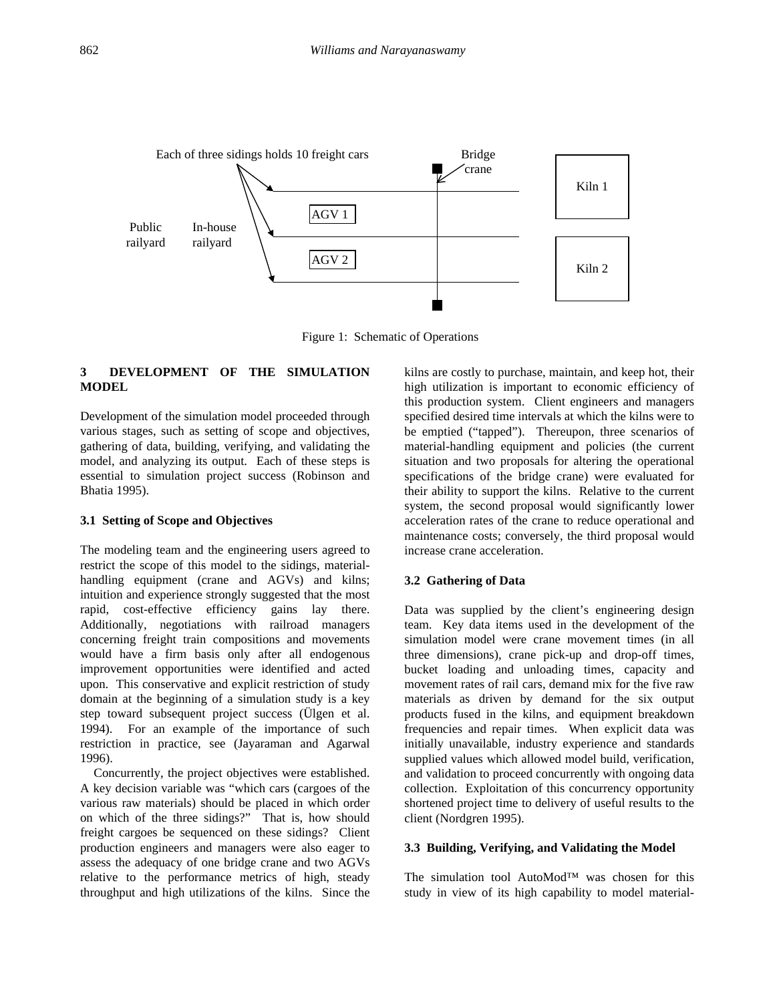

Figure 1: Schematic of Operations

# **3 DEVELOPMENT OF THE SIMULATION MODEL**

Development of the simulation model proceeded through various stages, such as setting of scope and objectives, gathering of data, building, verifying, and validating the model, and analyzing its output. Each of these steps is essential to simulation project success (Robinson and Bhatia 1995).

### **3.1 Setting of Scope and Objectives**

The modeling team and the engineering users agreed to restrict the scope of this model to the sidings, materialhandling equipment (crane and AGVs) and kilns; intuition and experience strongly suggested that the most rapid, cost-effective efficiency gains lay there. Additionally, negotiations with railroad managers concerning freight train compositions and movements would have a firm basis only after all endogenous improvement opportunities were identified and acted upon. This conservative and explicit restriction of study domain at the beginning of a simulation study is a key step toward subsequent project success (Ülgen et al. 1994). For an example of the importance of such restriction in practice, see (Jayaraman and Agarwal 1996).

Concurrently, the project objectives were established. A key decision variable was "which cars (cargoes of the various raw materials) should be placed in which order on which of the three sidings?" That is, how should freight cargoes be sequenced on these sidings? Client production engineers and managers were also eager to assess the adequacy of one bridge crane and two AGVs relative to the performance metrics of high, steady throughput and high utilizations of the kilns. Since the kilns are costly to purchase, maintain, and keep hot, their high utilization is important to economic efficiency of this production system. Client engineers and managers specified desired time intervals at which the kilns were to be emptied ("tapped"). Thereupon, three scenarios of material-handling equipment and policies (the current situation and two proposals for altering the operational specifications of the bridge crane) were evaluated for their ability to support the kilns. Relative to the current system, the second proposal would significantly lower acceleration rates of the crane to reduce operational and maintenance costs; conversely, the third proposal would increase crane acceleration.

#### **3.2 Gathering of Data**

Data was supplied by the client's engineering design team. Key data items used in the development of the simulation model were crane movement times (in all three dimensions), crane pick-up and drop-off times, bucket loading and unloading times, capacity and movement rates of rail cars, demand mix for the five raw materials as driven by demand for the six output products fused in the kilns, and equipment breakdown frequencies and repair times. When explicit data was initially unavailable, industry experience and standards supplied values which allowed model build, verification, and validation to proceed concurrently with ongoing data collection. Exploitation of this concurrency opportunity shortened project time to delivery of useful results to the client (Nordgren 1995).

### **3.3 Building, Verifying, and Validating the Model**

The simulation tool AutoMod™ was chosen for this study in view of its high capability to model material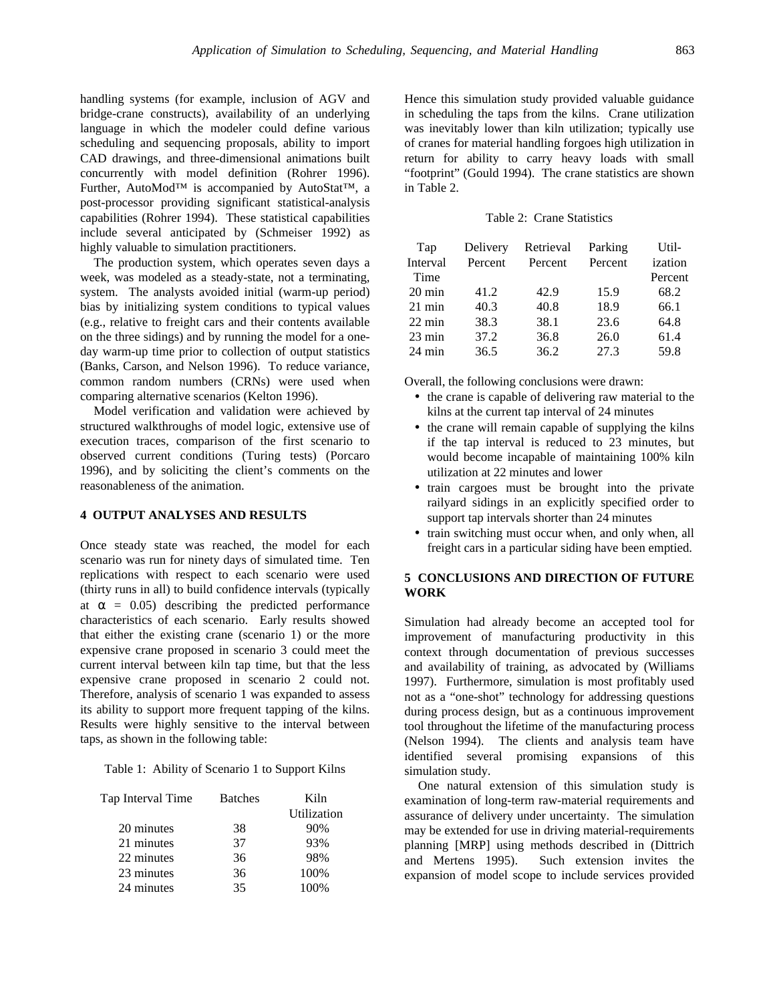handling systems (for example, inclusion of AGV and bridge-crane constructs), availability of an underlying language in which the modeler could define various scheduling and sequencing proposals, ability to import CAD drawings, and three-dimensional animations built concurrently with model definition (Rohrer 1996). Further, AutoMod™ is accompanied by AutoStat™, a post-processor providing significant statistical-analysis capabilities (Rohrer 1994). These statistical capabilities include several anticipated by (Schmeiser 1992) as highly valuable to simulation practitioners.

The production system, which operates seven days a week, was modeled as a steady-state, not a terminating, system. The analysts avoided initial (warm-up period) bias by initializing system conditions to typical values (e.g., relative to freight cars and their contents available on the three sidings) and by running the model for a oneday warm-up time prior to collection of output statistics (Banks, Carson, and Nelson 1996). To reduce variance, common random numbers (CRNs) were used when comparing alternative scenarios (Kelton 1996).

Model verification and validation were achieved by structured walkthroughs of model logic, extensive use of execution traces, comparison of the first scenario to observed current conditions (Turing tests) (Porcaro 1996), and by soliciting the client's comments on the reasonableness of the animation.

# **4 OUTPUT ANALYSES AND RESULTS**

Once steady state was reached, the model for each scenario was run for ninety days of simulated time. Ten replications with respect to each scenario were used (thirty runs in all) to build confidence intervals (typically at  $\alpha = 0.05$ ) describing the predicted performance characteristics of each scenario. Early results showed that either the existing crane (scenario 1) or the more expensive crane proposed in scenario 3 could meet the current interval between kiln tap time, but that the less expensive crane proposed in scenario 2 could not. Therefore, analysis of scenario 1 was expanded to assess its ability to support more frequent tapping of the kilns. Results were highly sensitive to the interval between taps, as shown in the following table:

|  | Table 1: Ability of Scenario 1 to Support Kilns |  |  |
|--|-------------------------------------------------|--|--|
|  |                                                 |  |  |

| Tap Interval Time | <b>Batches</b> | Kiln        |  |
|-------------------|----------------|-------------|--|
|                   |                | Utilization |  |
| 20 minutes        | 38             | 90%         |  |
| 21 minutes        | 37             | 93%         |  |
| 22 minutes        | 36             | 98%         |  |
| 23 minutes        | 36             | 100%        |  |
| 24 minutes        | 35             | 100%        |  |

Hence this simulation study provided valuable guidance in scheduling the taps from the kilns. Crane utilization was inevitably lower than kiln utilization; typically use of cranes for material handling forgoes high utilization in return for ability to carry heavy loads with small "footprint" (Gould 1994). The crane statistics are shown in Table 2.

# Table 2: Crane Statistics

| Tap              | Delivery | Retrieval | Parking | Util-   |
|------------------|----------|-----------|---------|---------|
| Interval         | Percent  | Percent   | Percent | ization |
| Time             |          |           |         | Percent |
| $20 \text{ min}$ | 41.2     | 42.9      | 15.9    | 68.2    |
| $21$ min         | 40.3     | 40.8      | 18.9    | 66.1    |
| $22 \text{ min}$ | 38.3     | 38.1      | 23.6    | 64.8    |
| $23 \text{ min}$ | 37.2     | 36.8      | 26.0    | 61.4    |
| $24 \text{ min}$ | 36.5     | 36.2      | 27.3    | 59.8    |

Overall, the following conclusions were drawn:

- the crane is capable of delivering raw material to the kilns at the current tap interval of 24 minutes
- the crane will remain capable of supplying the kilns if the tap interval is reduced to 23 minutes, but would become incapable of maintaining 100% kiln utilization at 22 minutes and lower
- train cargoes must be brought into the private railyard sidings in an explicitly specified order to support tap intervals shorter than 24 minutes
- train switching must occur when, and only when, all freight cars in a particular siding have been emptied.

# **5 CONCLUSIONS AND DIRECTION OF FUTURE WORK**

Simulation had already become an accepted tool for improvement of manufacturing productivity in this context through documentation of previous successes and availability of training, as advocated by (Williams 1997). Furthermore, simulation is most profitably used not as a "one-shot" technology for addressing questions during process design, but as a continuous improvement tool throughout the lifetime of the manufacturing process (Nelson 1994). The clients and analysis team have identified several promising expansions of this simulation study.

One natural extension of this simulation study is examination of long-term raw-material requirements and assurance of delivery under uncertainty. The simulation may be extended for use in driving material-requirements planning [MRP] using methods described in (Dittrich and Mertens 1995). Such extension invites the expansion of model scope to include services provided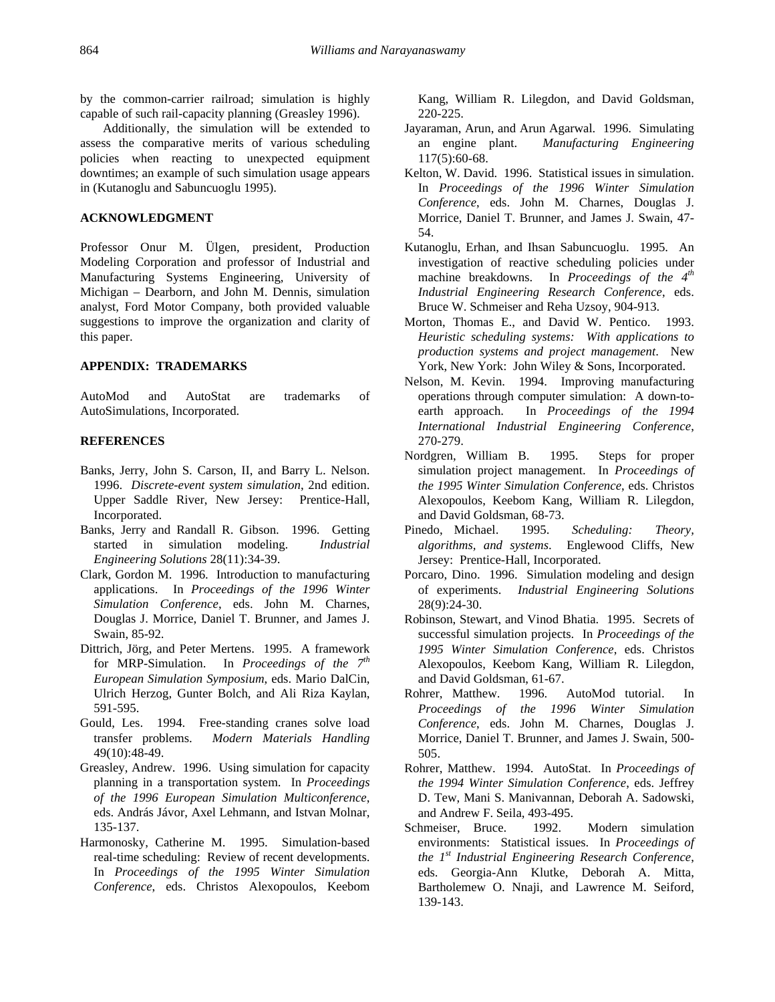by the common-carrier railroad; simulation is highly capable of such rail-capacity planning (Greasley 1996).

Additionally, the simulation will be extended to assess the comparative merits of various scheduling policies when reacting to unexpected equipment downtimes; an example of such simulation usage appears in (Kutanoglu and Sabuncuoglu 1995).

# **ACKNOWLEDGMENT**

Professor Onur M. Ülgen, president, Production Modeling Corporation and professor of Industrial and Manufacturing Systems Engineering, University of Michigan – Dearborn, and John M. Dennis, simulation analyst, Ford Motor Company, both provided valuable suggestions to improve the organization and clarity of this paper.

### **APPENDIX: TRADEMARKS**

AutoMod and AutoStat are trademarks of AutoSimulations, Incorporated.

#### **REFERENCES**

- Banks, Jerry, John S. Carson, II, and Barry L. Nelson. 1996. *Discrete-event system simulation*, 2nd edition. Upper Saddle River, New Jersey: Prentice-Hall, Incorporated.
- Banks, Jerry and Randall R. Gibson. 1996. Getting started in simulation modeling. *Industrial Engineering Solutions* 28(11):34-39.
- Clark, Gordon M. 1996. Introduction to manufacturing applications. In *Proceedings of the 1996 Winter Simulation Conference*, eds. John M. Charnes, Douglas J. Morrice, Daniel T. Brunner, and James J. Swain, 85-92.
- Dittrich, Jörg, and Peter Mertens. 1995. A framework for MRP-Simulation. In *Proceedings of the 7th European Simulation Symposium*, eds. Mario DalCin, Ulrich Herzog, Gunter Bolch, and Ali Riza Kaylan, 591-595.
- Gould, Les. 1994. Free-standing cranes solve load transfer problems. *Modern Materials Handling* 49(10):48-49.
- Greasley, Andrew. 1996. Using simulation for capacity planning in a transportation system. In *Proceedings of the 1996 European Simulation Multiconference*, eds. András Jávor, Axel Lehmann, and Istvan Molnar, 135-137.
- Harmonosky, Catherine M. 1995. Simulation-based real-time scheduling: Review of recent developments. In *Proceedings of the 1995 Winter Simulation Conference*, eds. Christos Alexopoulos, Keebom

Kang, William R. Lilegdon, and David Goldsman, 220-225.

- Jayaraman, Arun, and Arun Agarwal. 1996. Simulating an engine plant. *Manufacturing Engineering* 117(5):60-68.
- Kelton, W. David. 1996. Statistical issues in simulation. In *Proceedings of the 1996 Winter Simulation Conference*, eds. John M. Charnes, Douglas J. Morrice, Daniel T. Brunner, and James J. Swain, 47- 54.
- Kutanoglu, Erhan, and Ihsan Sabuncuoglu. 1995. An investigation of reactive scheduling policies under machine breakdowns. In *Proceedings of the 4th Industrial Engineering Research Conference*, eds. Bruce W. Schmeiser and Reha Uzsoy, 904-913.
- Morton, Thomas E., and David W. Pentico. 1993. *Heuristic scheduling systems: With applications to production systems and project management*. New York, New York: John Wiley & Sons, Incorporated.
- Nelson, M. Kevin. 1994. Improving manufacturing operations through computer simulation: A down-toearth approach. In *Proceedings of the 1994 International Industrial Engineering Conference*, 270-279.
- Nordgren, William B. 1995. Steps for proper simulation project management. In *Proceedings of the 1995 Winter Simulation Conference*, eds. Christos Alexopoulos, Keebom Kang, William R. Lilegdon, and David Goldsman, 68-73.
- Pinedo, Michael. 1995. *Scheduling: Theory, algorithms, and systems*. Englewood Cliffs, New Jersey: Prentice-Hall, Incorporated.
- Porcaro, Dino. 1996. Simulation modeling and design of experiments. *Industrial Engineering Solutions* 28(9):24-30.
- Robinson, Stewart, and Vinod Bhatia. 1995. Secrets of successful simulation projects. In *Proceedings of the 1995 Winter Simulation Conference*, eds. Christos Alexopoulos, Keebom Kang, William R. Lilegdon, and David Goldsman, 61-67.
- Rohrer, Matthew. 1996. AutoMod tutorial. In *Proceedings of the 1996 Winter Simulation Conference*, eds. John M. Charnes, Douglas J. Morrice, Daniel T. Brunner, and James J. Swain, 500- 505.
- Rohrer, Matthew. 1994. AutoStat. In *Proceedings of the 1994 Winter Simulation Conference*, eds. Jeffrey D. Tew, Mani S. Manivannan, Deborah A. Sadowski, and Andrew F. Seila, 493-495.
- Schmeiser, Bruce. 1992. Modern simulation environments: Statistical issues. In *Proceedings of the 1st Industrial Engineering Research Conference*, eds. Georgia-Ann Klutke, Deborah A. Mitta, Bartholemew O. Nnaji, and Lawrence M. Seiford, 139-143.